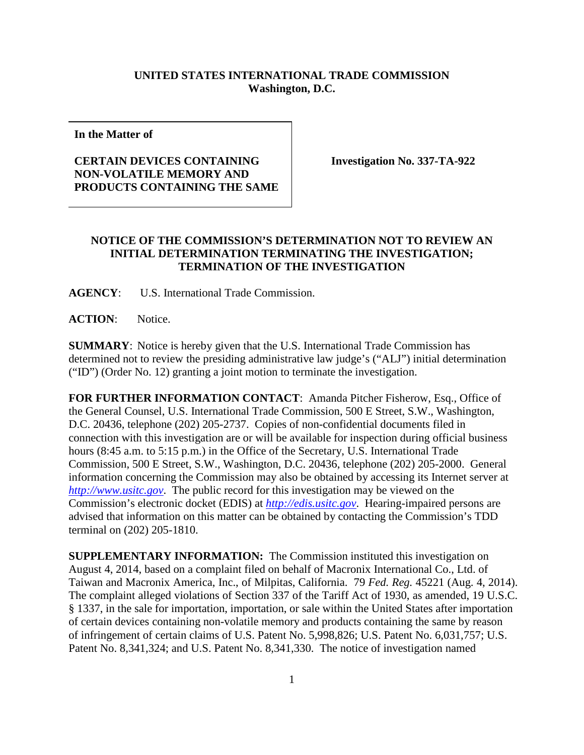## **UNITED STATES INTERNATIONAL TRADE COMMISSION Washington, D.C.**

**In the Matter of**

## **CERTAIN DEVICES CONTAINING NON-VOLATILE MEMORY AND PRODUCTS CONTAINING THE SAME**

**Investigation No. 337-TA-922**

## **NOTICE OF THE COMMISSION'S DETERMINATION NOT TO REVIEW AN INITIAL DETERMINATION TERMINATING THE INVESTIGATION; TERMINATION OF THE INVESTIGATION**

**AGENCY**: U.S. International Trade Commission.

**ACTION**: Notice.

**SUMMARY**: Notice is hereby given that the U.S. International Trade Commission has determined not to review the presiding administrative law judge's ("ALJ") initial determination ("ID") (Order No. 12) granting a joint motion to terminate the investigation.

**FOR FURTHER INFORMATION CONTACT**: Amanda Pitcher Fisherow, Esq., Office of the General Counsel, U.S. International Trade Commission, 500 E Street, S.W., Washington, D.C. 20436, telephone (202) 205-2737. Copies of non-confidential documents filed in connection with this investigation are or will be available for inspection during official business hours (8:45 a.m. to 5:15 p.m.) in the Office of the Secretary, U.S. International Trade Commission, 500 E Street, S.W., Washington, D.C. 20436, telephone (202) 205-2000. General information concerning the Commission may also be obtained by accessing its Internet server at *[http://www.usitc.gov](http://www.usitc.gov/)*. The public record for this investigation may be viewed on the Commission's electronic docket (EDIS) at *[http://edis.usitc.gov](http://edis.usitc.gov/)*. Hearing-impaired persons are advised that information on this matter can be obtained by contacting the Commission's TDD terminal on (202) 205-1810.

**SUPPLEMENTARY INFORMATION:** The Commission instituted this investigation on August 4, 2014, based on a complaint filed on behalf of Macronix International Co., Ltd. of Taiwan and Macronix America, Inc., of Milpitas, California. 79 *Fed. Reg.* 45221 (Aug. 4, 2014). The complaint alleged violations of Section 337 of the Tariff Act of 1930, as amended, 19 U.S.C. § 1337, in the sale for importation, importation, or sale within the United States after importation of certain devices containing non-volatile memory and products containing the same by reason of infringement of certain claims of U.S. Patent No. 5,998,826; U.S. Patent No. 6,031,757; U.S. Patent No. 8,341,324; and U.S. Patent No. 8,341,330. The notice of investigation named